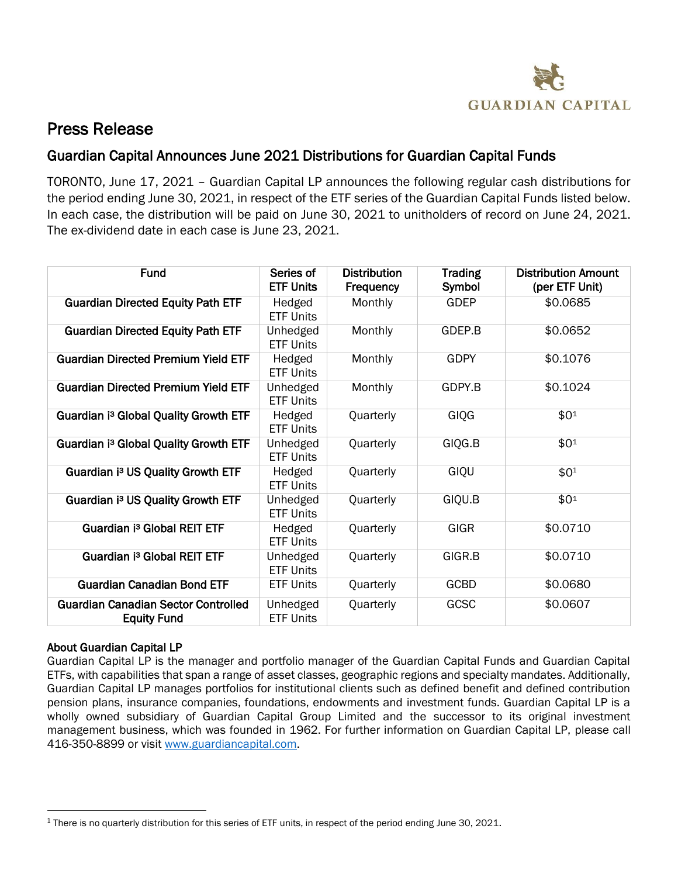

## Press Release

## Guardian Capital Announces June 2021 Distributions for Guardian Capital Funds

TORONTO, June 17, 2021 – Guardian Capital LP announces the following regular cash distributions for the period ending June 30, 2021, in respect of the ETF series of the Guardian Capital Funds listed below. In each case, the distribution will be paid on June 30, 2021 to unitholders of record on June 24, 2021. The ex-dividend date in each case is June 23, 2021.

| <b>Fund</b>                                                      | Series of<br><b>ETF Units</b> | <b>Distribution</b><br><b>Frequency</b> | <b>Trading</b><br>Symbol | <b>Distribution Amount</b><br>(per ETF Unit) |
|------------------------------------------------------------------|-------------------------------|-----------------------------------------|--------------------------|----------------------------------------------|
| <b>Guardian Directed Equity Path ETF</b>                         | Hedged<br><b>ETF Units</b>    | Monthly                                 | <b>GDEP</b>              | \$0.0685                                     |
| <b>Guardian Directed Equity Path ETF</b>                         | Unhedged<br><b>ETF Units</b>  | Monthly                                 | GDEP.B                   | \$0.0652                                     |
| <b>Guardian Directed Premium Yield ETF</b>                       | Hedged<br><b>ETF Units</b>    | Monthly                                 | <b>GDPY</b>              | \$0.1076                                     |
| <b>Guardian Directed Premium Yield ETF</b>                       | Unhedged<br><b>ETF Units</b>  | Monthly                                 | GDPY.B                   | \$0.1024                                     |
| Guardian i <sup>3</sup> Global Quality Growth ETF                | Hedged<br><b>ETF Units</b>    | Quarterly                               | GIQG                     | \$01                                         |
| Guardian i <sup>3</sup> Global Quality Growth ETF                | Unhedged<br><b>ETF Units</b>  | Quarterly                               | GIQG.B                   | \$01                                         |
| Guardian i <sup>3</sup> US Quality Growth ETF                    | Hedged<br><b>ETF Units</b>    | Quarterly                               | GIQU                     | $$0^1$$                                      |
| Guardian i <sup>3</sup> US Quality Growth ETF                    | Unhedged<br><b>ETF Units</b>  | Quarterly                               | GIQU.B                   | \$0 <sup>1</sup>                             |
| Guardian i <sup>3</sup> Global REIT ETF                          | Hedged<br><b>ETF Units</b>    | Quarterly                               | <b>GIGR</b>              | \$0.0710                                     |
| Guardian i <sup>3</sup> Global REIT ETF                          | Unhedged<br><b>ETF Units</b>  | Quarterly                               | GIGR.B                   | \$0.0710                                     |
| <b>Guardian Canadian Bond ETF</b>                                | <b>ETF Units</b>              | Quarterly                               | <b>GCBD</b>              | \$0.0680                                     |
| <b>Guardian Canadian Sector Controlled</b><br><b>Equity Fund</b> | Unhedged<br><b>ETF Units</b>  | Quarterly                               | GCSC                     | \$0.0607                                     |

## About Guardian Capital LP

 $\overline{a}$ 

Guardian Capital LP is the manager and portfolio manager of the Guardian Capital Funds and Guardian Capital ETFs, with capabilities that span a range of asset classes, geographic regions and specialty mandates. Additionally, Guardian Capital LP manages portfolios for institutional clients such as defined benefit and defined contribution pension plans, insurance companies, foundations, endowments and investment funds. Guardian Capital LP is a wholly owned subsidiary of Guardian Capital Group Limited and the successor to its original investment management business, which was founded in 1962. For further information on Guardian Capital LP, please call 416-350-8899 or visi[t www.guardiancapital.com.](http://www.guardiancapital.com/)

 $1$  There is no quarterly distribution for this series of ETF units, in respect of the period ending June 30, 2021.